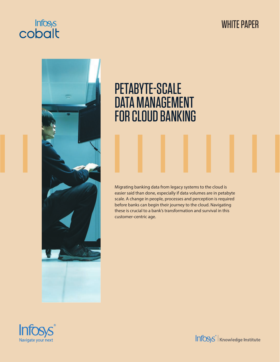# WHITE PAPER





# PETABYTE-SCALE DATA MANAGEMENT FOR CLOUD BANKING

Migrating banking data from legacy systems to the cloud is easier said than done, especially if data volumes are in petabyte scale. A change in people, processes and perception is required before banks can begin their journey to the cloud. Navigating these is crucial to a bank's transformation and survival in this customer-centric age.



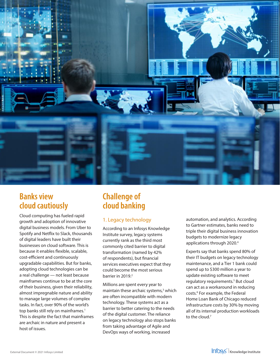

## **Banks view cloud cautiously**

Cloud computing has fueled rapid growth and adoption of innovative digital business models. From Uber to Spotify and Netflix to Slack, thousands of digital leaders have built their businesses on cloud software. This is because it enables flexible, scalable, cost-efficient and continuously upgradable capabilities. But for banks, adopting cloud technologies can be a real challenge — not least because mainframes continue to be at the core of their business, given their reliability, almost impregnable nature and ability to manage large volumes of complex tasks. In fact, over 90% of the world's top banks still rely on mainframes.<sup>1</sup> This is despite the fact that mainframes are archaic in nature and present a host of issues.

# **Challenge of cloud banking**

### 1. Legacy technology

According to an Infosys Knowledge Institute survey, legacy systems currently rank as the third most commonly cited barrier to digital transformation (named by 42% of respondents), but financial services executives expect that they could become the most serious barrier in 2019.<sup>2</sup>

Millions are spent every year to maintain these archaic systems,<sup>3</sup> which are often incompatible with modern technology. These systems act as a barrier to better catering to the needs of the digital customer. The reliance on legacy technology also stops banks from taking advantage of Agile and DevOps ways of working, increased

automation, and analytics. According to Gartner estimates, banks need to triple their digital business innovation budgets to modernize legacy applications through 2020.4

Experts say that banks spend 80% of their IT budgets on legacy technology maintenance, and a Tier 1 bank could spend up to \$300 million a year to update existing software to meet regulatory requirements.<sup>5</sup> But cloud can act as a workaround in reducing costs.<sup>6</sup> For example, the Federal Home Loan Bank of Chicago reduced infrastructure costs by 30% by moving all of its internal production workloads to the cloud.<sup>7</sup>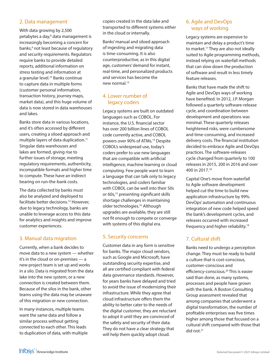#### 2. Data management

With data growing by 2,500 petabytes a day,<sup>8</sup> data management is increasingly becoming a concern for banks,<sup>9</sup> not least because of regulatory and security requirements. Regulators require banks to provide detailed reports, additional information on stress testing and information at a granular level.<sup>10</sup> Banks continue to capture data in multiple forms (customer personal information, transaction history, journey maps, market data), and this huge volume of data is now stored in data warehouses and lakes.

Banks store data in various locations, and it's often accessed by different users, creating a siloed approach and multiple layers of data duplication.<sup>11</sup> Singular data warehouses and lakes are formed, giving rise to further issues of storage, meeting regulatory requirements, authenticity, incompatible formats and higher time to compute. These have an indirect bearing on run-the-bank costs.

The data collected by banks must also be analyzed and deployed to facilitate better decisions.<sup>12</sup> However, due to legacy technology, banks are unable to leverage access to this data for analytics and insights and improve customer experiences.

### 3. Manual data migration

Currently, when a bank decides to move data to a new system — whether it's in the cloud or on-premises — a new project team is set up and works in a silo. Data is migrated from the data lake into the new system, or a new connection is created between them. Because of the silos in the bank, other teams using the data may be unaware of this migration or new connection.

In many instances, multiple teams want the same data and follow a similar process without getting connected to each other. This leads to duplication of data, with multiple copies created in the data lake and transported to different systems either in the cloud or internally.

Banks' manual and siloed approach of ingesting and migrating data is time-consuming. It is also counterproductive, as in this digital age, customers' demand for instant, real-time, and personalized products and services has become the new normal.<sup>13</sup>

### 4. Lower number of legacy coders

Legacy systems are built on outdated languages such as COBOL. For instance, the U.S. financial sector has over 200 billion lines of COBOL code currently active, and COBOL powers over 90% of ATMs.<sup>14</sup> Despite COBOL's widespread use, today's coders prefer to use new languages that are compatible with artificial intelligence, machine learning or cloud computing. Few people want to learn a language that can talk only to legacy technologies, and coders familiar with COBOL can be well into their 50s or 60s,<sup>15</sup> presenting significant skills shortage challenges in maintaining older technologies.16 Although upgrades are available, they are still not fit enough to compete or converge with systems of this digital era.

### 5. Security concerns

Customer data in any form is sensitive for banks. The major cloud vendors, such as Google and Microsoft, have outstanding security expertise, and all are certified compliant with federal data governance standards. However, for years banks have delayed and tried to avoid the issue of modernizing their infrastructure. While they agree that cloud infrastructure offers them the ability to better cater to the needs of the digital customer, they are reluctant to adopt it until they are convinced of the safety and security of their data. They do not have a clear strategy that will help them quickly adopt cloud.

### 6. Agile and DevOps ways of working

Legacy systems are expensive to maintain and delay a product's time to market.17 They are also not ideally suited to Agile programming methods, instead relying on waterfall methods that can slow down the production of software and result in less timely feature releases.

Banks that have made the shift to Agile and DevOps ways of working have benefited. In 2012, J.P. Morgan followed a quarterly software-release cycle, and coordination between development and operations was minimal. These quarterly releases heightened risks, were cumbersome and time-consuming, and increased delivery costs. The financial institution decided to embrace Agile and DevOps practices. The software-releases cycle changed from quarterly to 100 releases in 2015, 200 in 2016 and over 400 in 2017.18

Capital One's move from waterfall to Agile software development helped cut the time to build new application infrastructure by 99%. DevOps' automation and continuous integration of new code helped speed the bank's development cycles, and releases occurred with increased frequency and higher reliability.19

### 7. Cultural shift

Banks need to undergo a perception change. They must be ready to build a culture that is cost-conscious, customer-conscious and efficiency-conscious.20 This is easier said than done, as many systems, processes and people have grown with the bank. A Boston Consulting Group assessment revealed that among companies that underwent a digital transformation, the number of profitable enterprises was five times higher among those that focused on a cultural shift compared with those that did not.21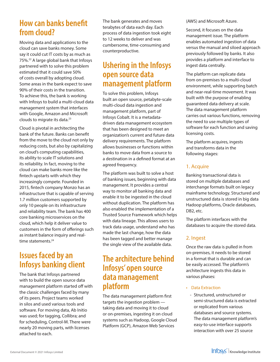## **How can banks benefit from cloud?**

Moving data and applications to the cloud can save banks money. Some say it could cut IT costs by as much as 75%.<sup>22</sup> A large global bank that Infosys partnered with to solve this problem estimated that it could save 50% of costs overall by adopting cloud. Some areas in the bank expect to save 90% of their costs in the transition. To achieve this, the bank is working with Infosys to build a multi-cloud data management system that interfaces with Google, Amazon and Microsoft clouds to migrate its data.<sup>23</sup>

Cloud is pivotal in architecting the bank of the future. Banks can benefit from the move to the cloud not only by reducing costs, but also by capitalizing on cloud's computing capabilities, its ability to scale IT solutions and its reliability. In fact, moving to the cloud can make banks more like the fintech upstarts with which they increasingly compete. Founded in 2015, fintech company Monzo has an infrastructure that is capable of serving 1.7 million customers supported by only 10 people on its infrastructure and reliability team. The bank has 400 core banking microservices on the cloud, which help it deliver value to customers in the form of offerings such as instant balance inquiry and realtime statements.<sup>24</sup>

# **Issues faced by an Infosys banking client**

The bank that Infosys partnered with to build the open source data management platform started off with the classic challenges faced by many of its peers. Project teams worked in silos and used various tools and software. For moving data, Ab Initio was used; for tagging, Collibra; and for scheduling, Control-M. There were nearly 20 moving parts, with licenses attached to each.

The bank generates and moves terabytes of data each day. Each process of data ingestion took eight to 12 weeks to deliver and was cumbersome, time-consuming and counterproductive.

# **Ushering in the Infosys open source data management platform**

To solve this problem, Infosys built an open source, petabyte-scale multi-cloud data ingestion and management platform, part of [Infosys Cobalt](https://www.infosys.com/services/cloud-cobalt.html%20%20). It is a metadatadriven data management ecosystem that has been designed to meet an organization's current and future data delivery requirements. The platform allows businesses or functions within banks to move data from a source to a destination in a defined format at an agreed frequency.

The platform was built to solve a host of banking issues, beginning with data management. It provides a central way to monitor all banking data and enable it to be ingested in the cloud without duplication. The platform has also enabled the implementation of a Trusted Source Framework which helps with data lineage. This allows users to track data usage, understand who has made the last change, how the data has been tagged and better manage the single view of the available data.

## **The architecture behind Infosys' open source data management platform**

The data management platform first targets the ingestion problem taking data and moving it to cloud or on-premises, ingesting it on cloud systems such as Hadoop, Google Cloud Platform (GCP), Amazon Web Services

(AWS) and Microsoft Azure.

Second, it focuses on the data management issue. The platform enables automated ingestion of data versus the manual and siloed approach previously followed by banks. It also provides a platform and interface to ingest data centrally.

The platform can replicate data from on-premises to a multi-cloud environment, while supporting batch and near-real-time movement. It was built with the purpose of enabling guaranteed data delivery at scale. The data management platform carries out various functions, removing the need to use multiple types of software for each function and saving licensing costs.

The platform acquires, ingests and transforms data in the following stages:

### 1. Acquire

Banking transactional data is stored on multiple databases and interchange formats built on legacy mainframe technology. Structured and unstructured data is stored in big data Hadoop platforms, Oracle databases, DB2, etc.

The platform interfaces with the databases to acquire the stored data.

### 2. Ingest

Once the raw data is pulled in from on-premises, it needs to be stored in a format that is durable and can be easily accessed. The platform's architecture ingests this data in various phases:

#### • Data Extraction

- Structured, unstructured or semi-structured data is extracted or replicated from various databases and source systems. The data management platform's easy-to-use interface supports interaction with over 25 source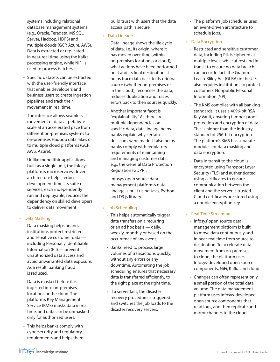systems including relational database management systems (e.g., Oracle, Teradata, MS SQL Server, Hadoop, HDFS) and multiple clouds (GCP, Azure, AWS). Data is extracted or replicated in near-real time using the Kafka processing engine, while NiFi is used to process batches.

- Specific datasets can be extracted with the user-friendly interface that enables developers and business users to create ingestion pipelines and track their movement in real time.
- The interface allows seamless movement of data at petabyte scale at an accelerated pace from different on-premises systems to on-premises Hadoop data lakes or to multiple cloud platforms (GCP, AWS, Azure).
- Unlike monolithic applications built as a single unit, the Infosys platform's microservices-driven architecture helps reduce development time. Its suite of services, each independently run and deployable, reduces the dependency on skilled developers to deliver data movement.

#### • Data Masking

- Data masking helps financial institutions protect restricted and sensitive customer data including Personally Identifiable Information (PII) — prevent unauthorized data access and avoid unwarranted data exposure. As a result, banking fraud is reduced.
- Data is masked before it is ingested into on-premises locations or the cloud. The platform's Key Management Service (KMS) masks data in real time, and data can be unmasked only for authorized users.
- This helps banks comply with cybersecurity and regulatory requirements and helps them

build trust with users that the data access path is secure.

- • Data Lineage
	- Data lineage shows the life cycle of data, i.e., its origin, where it has moved over time (within on-premises locations or cloud), what actions have been performed on it and its final destination. It helps trace data back to its original source (whether on-premises or in the cloud), reconciles the data, reduces duplication and traces errors back to their sources quickly.
	- Another important facet is "explainability." As there are multiple dependencies on specific data, data lineage helps banks explain why certain decisions were made. It also helps banks comply with regulatory requirements of maintaining and managing customer data, e.g., the General Data Protection Regulation (GDPR).
	- Infosys' open source data management platform's data lineage is built using Java, Python and D3.js library.
- Job Scheduling
	- This helps automatically trigger data transfers on a recurring or an ad hoc basis — daily, weekly, monthly or based on the occurrence of any event.
	- Banks need to process large volumes of transactions quickly, without any errors or any downtime. Automating the job scheduling ensures that necessary data is transferred efficiently, to the right place at the right time.
	- If a server fails, the disaster recovery procedure is triggered and switches the job loads to the disaster recovery servers.
- The platform's job scheduler uses an event-driven architecture to schedule jobs.
- Data Encryption
	- Restricted and sensitive customer data, including PII, is ciphered at multiple levels while at rest and in transit to ensure no data breach can occur. In fact, the Gramm-Leach-Bliley Act (GLBA) in the U.S. also requires institutions to protect customers' Nonpublic Personal Information (NPI).
	- The KMS complies with all banking standards. It uses a 4096-bit RSA Key Vault, ensuring tamper-proof protection and encryption of data. This is higher than the industry standard of 256-bit encryption. The platform's KMS has separate modules for data masking and data encryption.
	- Data in transit to the cloud is encrypted using Transport Layer Security (TLS) and authenticated using certificates to ensure communication between the client and the server is trusted. Cloud certificates are stored using a double encryption key.

#### • Real-Time Streaming

- Infosys' open source data management platform is built to move data continuously and in near-real time from source to destination. To accelerate data movement from on-premises to cloud, the platform uses Infosys-developed open source components, NiFi, Kafka and cloud.
- Changes can often represent only a small portion of the total data volume. The data management platform uses Infosys-developed open source components that read logs, and then replicate and mirror changes to the cloud.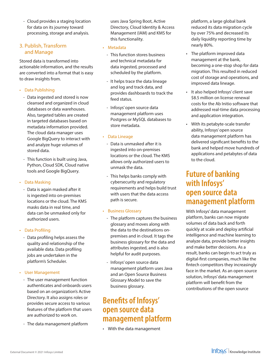- Cloud provides a staging location for data on its journey toward processing, storage and analysis.

#### 3. Publish, Transform and Manage

Stored data is transformed into actionable information, and the results are converted into a format that is easy to draw insights from.

#### • Data Publishing

- Data ingested and stored is now cleansed and organized in cloud databases or data warehouses. Also, targeted tables are created in targeted databases based on metadata information provided. The cloud data manager uses Google BigQuery to interact with and analyze huge volumes of stored data.
- This function is built using Java, Python, Cloud SDK, Cloud native tools and Google BigQuery.

• Data Masking

- Data is again masked after it is ingested into on-premises locations or the cloud. The KMS masks data in real time, and data can be unmasked only for authorized users.

• Data Profiling

- Data profiling helps assess the quality and relationship of the available data. Data profiling jobs are undertaken in the platform's Scheduler.

• User Management

- The user management function authenticates and onboards users based on an organization's Active Directory. It also assigns roles or provides secure access to various features of the platform that users are authorized to work on.
- The data management platform

uses Java Spring Boot, Active Directory, Cloud Identity & Access Management (IAM) and KMS for this functionality.

- • Metadata
	- This function stores business and technical metadata for data ingested, processed and scheduled by the platform.
	- It helps trace the data lineage and log and track data, and provides dashboards to track the feed status.
	- Infosys' open source data management platform uses Postgres or MySQL databases to store metadata.

• Data Lineage

- Data is unmasked after it is ingested into on-premises locations or the cloud. The KMS allows only authorized users to unmask the data.
- This helps banks comply with cybersecurity and regulatory requirements and helps build trust with users that the data access path is secure.

• Business Glossary

- The platform captures the business glossary and moves along with the data to the destinations onpremises and in cloud. It tags the business glossary for the data and attributes ingested, and is also helpful for audit purposes.
- Infosys' open source data management platform uses Java and an Open Source Business Glossary Model to save the business glossary.

# **Benefits of Infosys' open source data management platform**

• With the data management

platform, a large global bank reduced its data migration cycle by over 75% and decreased its daily liquidity reporting time by nearly 80%.

- The platform improved data management at the bank, becoming a one-stop shop for data migration. This resulted in reduced cost of storage and operations, and improved data lineage.
- It also helped Infosys' client save \$8.5 million on license renewal costs for the Ab Initio software that addressed real-time data processing and application integration.
- • With its petabyte-scale transfer ability, Infosys' open source data management platform has delivered significant benefits to the bank and helped move hundreds of applications and petabytes of data to the cloud.

# **Future of banking with Infosys' open source data management platform**

With Infosys' data management platform, banks can now migrate volumes of data back and forth quickly at scale and deploy artificial intelligence and machine learning to analyze data, provide better insights and make better decisions. As a result, banks can begin to act truly as digital-first companies, much like the fintech competitors they increasingly face in the market. As an open source solution, Infosys' data management platform will benefit from the contributions of the open source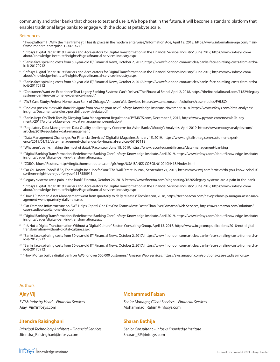community and other banks that choose to test and use it. We hope that in the future, it will become a standard platform that enables traditional large banks to engage with the cloud at petabyte scale.

#### References

- <sup>1.</sup> "Two-platform IT: Why the mainframe still has its place in the modern enterprise," Information Age, April 12, 2018, [https://www.information-age.com/main](https://www.information-age.com/mainframe-modern-enterprise-123471427/)[frame-modern-enterprise-123471427/](https://www.information-age.com/mainframe-modern-enterprise-123471427/)
- 2. "Infosys Digital Radar 2019: Barriers and Accelerators for Digital Transformation in the Financial Services Industry," June 2019, [https://www.infosys.com/](https://www.infosys.com/about/knowledge-institute/insights/Pages/financial-services-industry.aspx) [about/knowledge-institute/insights/Pages/financial-services-industry.aspx](https://www.infosys.com/about/knowledge-institute/insights/Pages/financial-services-industry.aspx)
- 3. "Banks face spiraling costs from 50-year-old IT," Financial News, October 2, 2017, [https://www.fnlondon.com/articles/banks-face-spiraling-costs-from-archa](https://www.fnlondon.com/articles/banks-face-spiraling-costs-from-archaic-it-20170912)[ic-it-20170912](https://www.fnlondon.com/articles/banks-face-spiraling-costs-from-archaic-it-20170912)
- 4. "Infosys Digital Radar 2019: Barriers and Accelerators for Digital Transformation in the Financial Services Industry," June 2019, [https://www.infosys.com/](https://www.infosys.com/about/knowledge-institute/insights/Pages/financial-services-industry.aspx) [about/knowledge-institute/insights/Pages/financial-services-industry.aspx](https://www.infosys.com/about/knowledge-institute/insights/Pages/financial-services-industry.aspx)
- 5. "Banks face spiraling costs from 50-year-old IT," Financial News, October 2, 2017, [https://www.fnlondon.com/articles/banks-face-spiraling-costs-from-archa](https://www.fnlondon.com/articles/banks-face-spiraling-costs-from-archaic-it-20170912)[ic-it-20170912](https://www.fnlondon.com/articles/banks-face-spiraling-costs-from-archaic-it-20170912)
- 6. "Consumers Want An Experience That Legacy B[an](https://thefinancialbrand.com/71829/legacy-systems-banking-customer-experience-impact/
)king Systems Can't Deliver," The Financial Brand, April 2, 2018, [https://thefinancialbrand.com/71829/legacy](https://thefinancialbrand.com/71829/legacy-systems-banking-customer-experience-impact/)[systems-banking-customer-experience-impact/](https://thefinancialbrand.com/71829/legacy-systems-banking-customer-experience-impact/)
- 7. "AWS Case Study: Federal Home Loan Bank of Chicago," Amazon Web Services, <https://aws.amazon.com/solutions/case-studies/FHLBC/>
- 8. "Endless possibilities with data: Navigate from now to your next," Infosys Knowledge Institute, November 2018, [https://www.infosys.com/data-analytics/](https://www.infosys.com/data-analytics/insights/Documents/endless-possibilities-with-data.pdf) [insights/Documents/endless-possibilities-with-data.pdf](https://www.infosys.com/data-analytics/insights/Documents/endless-possibilities-with-data.pdf)
- 9. "Banks Kept On Their Toes By Dizzying Data Management Regulations," PYMNTS.com, December 5, 2017, [https://www.pymnts.com/news/b2b-pay](https://www.pymnts.com/news/b2b-payments/2017/wolters-kluwer-bank-data-management-regulation/)[ments/2017/wolters-kluwer-bank-data-management-regulation/](https://www.pymnts.com/news/b2b-payments/2017/wolters-kluwer-bank-data-management-regulation/)
- <sup>10.</sup> "Regulatory Data Management: Data Quality and Integrity Concerns for Asian Banks," Moody's Analytics, April 2019, [https://www.moodysanalytics.com/](https://www.moodysanalytics.com/articles/2019/regulatory-data-management) [articles/2019/regulatory-data-management](https://www.moodysanalytics.com/articles/2019/regulatory-data-management)
- 11. "Data Management Challenges For Financial Services," Digitalist Magazine, January 15, 2019, [https://www.digitalistmag.com/customer-experi](https://www.digitalistmag.com/customer-experience/2019/01/15/data-management-challenges-for-financial-services-06195118)[ence/2019/01/15/data-management-challenges-for-financial-services-06195118](https://www.digitalistmag.com/customer-experience/2019/01/15/data-management-challenges-for-financial-services-06195118)
- $12.$  "Why aren't banks making the most of data?," Raconteur, June 18, 2019, <https://www.raconteur.net/finance/data-management-banking>
- <sup>13.</sup> "Digital Banking Transformation: Redefine the Banking Core," Infosys Knowledge Institute, April 2019, [https://www.infosys.com/about/knowledge-institute/](https://www.infosys.com/about/knowledge-institute/insights/pages/digital-banking-transformation.aspx) [insights/pages/digital-banking-transformation.aspx](https://www.infosys.com/about/knowledge-institute/insights/pages/digital-banking-transformation.aspx)
- 14. "COBOL blues," Reuters, <http://fingfx.thomsonreuters.com/gfx/rngs/USA-BANKS-COBOL/010040KH18J/index.html>
- <sup>15.</sup> "Do You Know Cobol? If So, There Might Be a Job for You." The Wall Street Journal, September 21, 2018, [https://www.wsj.com/articles/do-you-know-cobol-if](https://www.wsj.com/articles/do-you-know-cobol-if-so-there-might-be-a-job-for-you-1537550913)[so-there-might-be-a-job-for-you-1537550913](https://www.wsj.com/articles/do-you-know-cobol-if-so-there-might-be-a-job-for-you-1537550913)
- <sup>16.</sup> "Legacy systems are a pain in the bank," Finextra, October 26, 2018,<https://www.finextra.com/blogposting/16205/legacy-systems-are-a-pain-in-the-bank>
- <sup>17.</sup> "Infosys Digital Radar 2019: Barriers and Accelerators for Digital Transformation in the Financial Services Industry," June 2019, [https://www.infosys.com/](https://www.infosys.com/about/knowledge-institute/insights/Pages/financial-services-industry.aspx) [about/knowledge-institute/insights/Pages/financial-services-industry.aspx](https://www.infosys.com/about/knowledge-institute/insights/Pages/financial-services-industry.aspx)
- <sup>18.</sup> "How J.P. Morgan Asset Management went from quarterly to daily releases," TechBeacon, 2018, [https://techbeacon.com/devops/how-jp-morgan-asset-man](https://techbeacon.com/devops/how-jp-morgan-asset-management-went-quarterly-daily-releases)[agement-went-quarterly-daily-releases](https://techbeacon.com/devops/how-jp-morgan-asset-management-went-quarterly-daily-releases)
- <sup>19.</sup> "On-Demand Infrastructure on AWS Helps Capital One DevOps Teams Move Faster Than Ever," Amazon Web Services, [https://aws.amazon.com/solutions/](https://aws.amazon.com/solutions/case-studies/capital-one-devops/) [case-studies/capital-one-devops/](https://aws.amazon.com/solutions/case-studies/capital-one-devops/)
- <sup>20.</sup> "Digital Banking Transformation: Redefine the Banking Core," Infosys Knowledge Institute, April 2019, [https://www.infosys.com/about/knowledge-institute/](https://www.infosys.com/about/knowledge-institute/insights/pages/digital-banking-transformation.aspx) [insights/pages/digital-banking-transformation.aspx](https://www.infosys.com/about/knowledge-institute/insights/pages/digital-banking-transformation.aspx)
- <sup>21.</sup> "It's Not a Digital Transformation Without a Digital Culture," Boston Consulting Group, April 13, 2018, [https://www.bcg.com/publications/2018/not-digital](https://www.bcg.com/publications/2018/not-digital-transformation-without-digital-culture.aspx)[transformation-without-digital-culture.aspx](https://www.bcg.com/publications/2018/not-digital-transformation-without-digital-culture.aspx)
- <sup>22.</sup> "Banks face spiraling costs from 50-year-old IT," Financial News, October 2, 2017, [https://www.fnlondon.com/articles/banks-face-spiraling-costs-from-archa](https://www.fnlondon.com/articles/banks-face-spiraling-costs-from-archaic-it-20170912)[ic-it-20170912](https://www.fnlondon.com/articles/banks-face-spiraling-costs-from-archaic-it-20170912)
- <sup>23.</sup> "Banks face spiraling costs from 50-year-old IT," Financial News, October 2, 2017, [https://www.fnlondon.com/articles/banks-face-spiraling-costs-from-archa](https://www.fnlondon.com/articles/banks-face-spiraling-costs-from-archaic-it-20170912)[ic-it-20170912](https://www.fnlondon.com/articles/banks-face-spiraling-costs-from-archaic-it-20170912)
- <sup>24.</sup> "How Monzo built a digital bank on AWS for over 500,000 customers," Amazon Web Services, <https://aws.amazon.com/solutions/case-studies/monzo/>

#### Authors

#### **Ajay Vij**

*SVP & Industry Head – Financial Services* [Ajay\\_Vij@infosys.com](mailto:Ajay_Vij%40infosys.com?subject=)

#### **Jitendra Raisinghani**

*Principal Technology Architect – Financial Services* [Jitendra\\_Raisinghani@infosys.com](mailto:Jitendra_Raisinghani%40infosys.com%20?subject=)

#### **Mohammad Faizan**

*Senior Manager, Client Services – Financial Services* [Mohammad\\_Rahim@infosys.com](mailto:Mohammad_Rahim%40infosys.com%20?subject=)

#### **Sharan Bathija**

*Senior Consultant – Infosys Knowledge Institute* [Sharan\\_BP@infosys.com](mailto:Sharan_BP%40infosys.com?subject=)